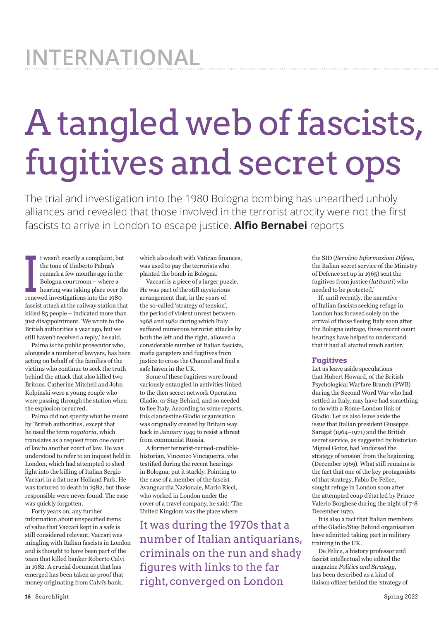## **International**

## A tangled web of fascists, fugitives and secret ops

The trial and investigation into the 1980 Bologna bombing has unearthed unholy alliances and revealed that those involved in the terrorist atrocity were not the first fascists to arrive in London to escape justice. **Alfio Bernabei** reports

t wasn't exactly a complaint, but<br>the tone of Umberto Palma's<br>remark a few months ago in the<br>Bologna courtroom – where a<br>hearing was taking place over th<br>renewed investigations into the 1980 t wasn't exactly a complaint, but the tone of Umberto Palma's remark a few months ago in the Bologna courtroom – where a hearing was taking place over the fascist attack at the railway station that killed 85 people – indicated more than just disappointment. 'We wrote to the British authorities a year ago, but we still haven't received a reply,' he said.

Palma is the public prosecutor who, alongside a number of lawyers, has been acting on behalf of the families of the victims who continue to seek the truth behind the attack that also killed two Britons. Catherine Mitchell and John Kolpinski were a young couple who were passing through the station when the explosion occurred.

Palma did not specify what he meant by 'British authorities', except that he used the term *rogatoria*, which translates as a request from one court of law to another court of law. He was understood to refer to an inquest held in London, which had attempted to shed light into the killing of Italian Sergio Vaccari in a flat near Holland Park. He was tortured to death in 1982, but those responsible were never found. The case was quickly forgotten.

Forty years on, any further information about unspecified items of value that Vaccari kept in a safe is still considered relevant. Vaccari was mingling with Italian fascists in London and is thought to have been part of the team that killed banker Roberto Calvi in 1982. A crucial document that has emerged has been taken as proof that money originating from Calvi's bank,

which also dealt with Vatican finances, was used to pay the terrorists who planted the bomb in Bologna.

Vaccari is a piece of a larger puzzle. He was part of the still mysterious arrangement that, in the years of the so‑called 'strategy of tension', the period of violent unrest between 1968 and 1982 during which Italy suffered numerous terrorist attacks by both the left and the right, allowed a considerable number of Italian fascists, mafia gangsters and fugitives from justice to cross the Channel and find a safe haven in the UK.

Some of these fugitives were found variously entangled in activities linked to the then secret network Operation Gladio, or Stay Behind, and so needed to flee Italy. According to some reports, this clandestine Gladio organisation was originally created by Britain way back in January 1949 to resist a threat from communist Russia.

A former terrorist-turned-crediblehistorian, Vincenzo Vinciguerra, who testified during the recent hearings in Bologna, put it starkly. Pointing to the case of a member of the fascist Avanguardia Nazionale, Mario Ricci, who worked in London under the cover of a travel company, he said: 'The United Kingdom was the place where

It was during the 1970s that a number of Italian antiquarians, criminals on the run and shady figures with links to the far right, converged on London

the SID (*Servizio Informazioni Difesa*, the Italian secret service of the Ministry of Defence set up in 1965) sent the fugitives from justice (*latitanti*) who needed to be protected.'

If, until recently, the narrative of Italian fascists seeking refuge in London has focused solely on the arrival of those fleeing Italy soon after the Bologna outrage, these recent court hearings have helped to understand that it had all started much earlier.

## **Fugitives**

Let us leave aside speculations that Hubert Howard, of the British Psychological Warfare Branch (PWB) during the Second Word War who had settled in Italy, may have had something to do with a Rome-London link of Gladio. Let us also leave aside the issue that Italian president Giuseppe Saragat (1964–1971) and the British secret service, as suggested by historian Miguel Gotor, had 'endorsed the strategy of tension' from the beginning (December 1969). What still remains is the fact that one of the key protagonists of that strategy, Fabio De Felice, sought refuge in London soon after the attempted coup d'état led by Prince Valerio Borghese during the night of 7-8 December 1970.

It is also a fact that Italian members of the Gladio/Stay Behind organisation have admitted taking part in military training in the UK.

De Felice, a history professor and fascist intellectual who edited the magazine *Politics and Strategy*, has been described as a kind of liaison officer behind the 'strategy of